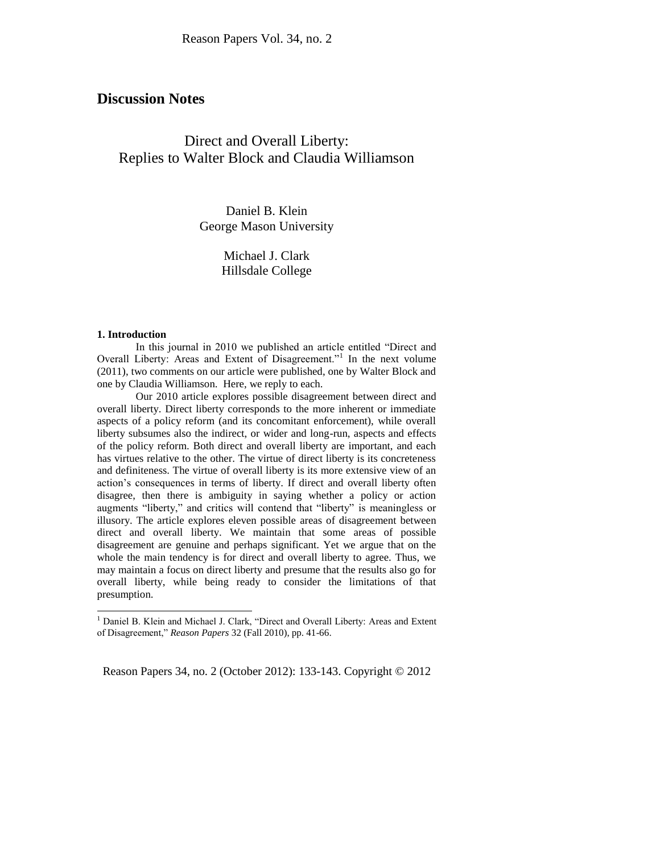## **Discussion Notes**

# Direct and Overall Liberty: Replies to Walter Block and Claudia Williamson

Daniel B. Klein George Mason University

> Michael J. Clark Hillsdale College

#### **1. Introduction**

l

In this journal in 2010 we published an article entitled "Direct and Overall Liberty: Areas and Extent of Disagreement."<sup>1</sup> In the next volume (2011), two comments on our article were published, one by Walter Block and one by Claudia Williamson. Here, we reply to each.

Our 2010 article explores possible disagreement between direct and overall liberty. Direct liberty corresponds to the more inherent or immediate aspects of a policy reform (and its concomitant enforcement), while overall liberty subsumes also the indirect, or wider and long-run, aspects and effects of the policy reform. Both direct and overall liberty are important, and each has virtues relative to the other. The virtue of direct liberty is its concreteness and definiteness. The virtue of overall liberty is its more extensive view of an action's consequences in terms of liberty. If direct and overall liberty often disagree, then there is ambiguity in saying whether a policy or action augments "liberty," and critics will contend that "liberty" is meaningless or illusory. The article explores eleven possible areas of disagreement between direct and overall liberty. We maintain that some areas of possible disagreement are genuine and perhaps significant. Yet we argue that on the whole the main tendency is for direct and overall liberty to agree. Thus, we may maintain a focus on direct liberty and presume that the results also go for overall liberty, while being ready to consider the limitations of that presumption.

Reason Papers 34, no. 2 (October 2012): 133-143. Copyright © 2012

<sup>&</sup>lt;sup>1</sup> Daniel B. Klein and Michael J. Clark, "Direct and Overall Liberty: Areas and Extent of Disagreement," *Reason Papers* 32 (Fall 2010), pp. 41-66.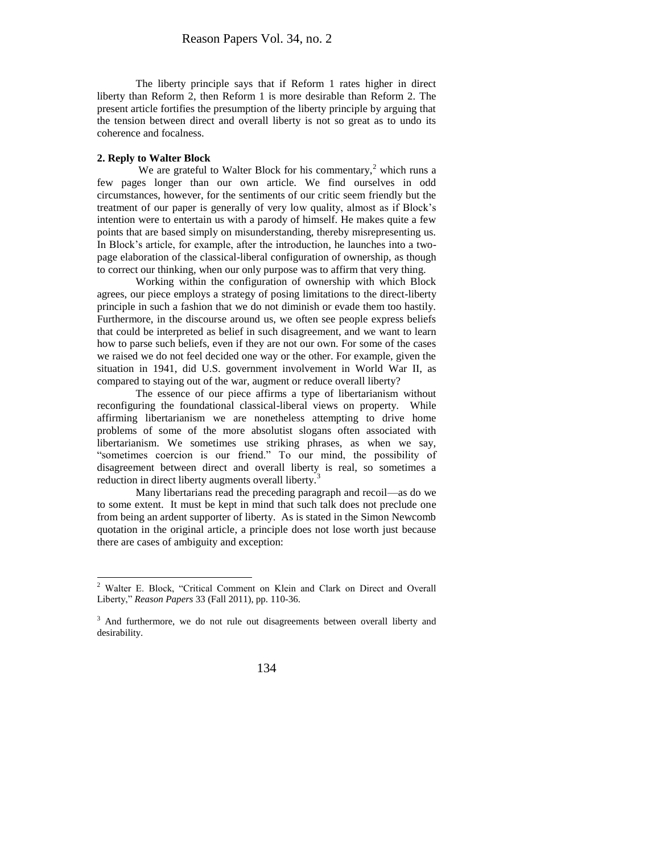The liberty principle says that if Reform 1 rates higher in direct liberty than Reform 2, then Reform 1 is more desirable than Reform 2. The present article fortifies the presumption of the liberty principle by arguing that the tension between direct and overall liberty is not so great as to undo its coherence and focalness.

#### **2. Reply to Walter Block**

 $\overline{\phantom{a}}$ 

We are grateful to Walter Block for his commentary,<sup>2</sup> which runs a few pages longer than our own article. We find ourselves in odd circumstances, however, for the sentiments of our critic seem friendly but the treatment of our paper is generally of very low quality, almost as if Block's intention were to entertain us with a parody of himself. He makes quite a few points that are based simply on misunderstanding, thereby misrepresenting us. In Block's article, for example, after the introduction, he launches into a twopage elaboration of the classical-liberal configuration of ownership, as though to correct our thinking, when our only purpose was to affirm that very thing.

Working within the configuration of ownership with which Block agrees, our piece employs a strategy of posing limitations to the direct-liberty principle in such a fashion that we do not diminish or evade them too hastily. Furthermore, in the discourse around us, we often see people express beliefs that could be interpreted as belief in such disagreement, and we want to learn how to parse such beliefs, even if they are not our own. For some of the cases we raised we do not feel decided one way or the other. For example, given the situation in 1941, did U.S. government involvement in World War II, as compared to staying out of the war, augment or reduce overall liberty?

The essence of our piece affirms a type of libertarianism without reconfiguring the foundational classical-liberal views on property. While affirming libertarianism we are nonetheless attempting to drive home problems of some of the more absolutist slogans often associated with libertarianism. We sometimes use striking phrases, as when we say, "sometimes coercion is our friend." To our mind, the possibility of disagreement between direct and overall liberty is real, so sometimes a reduction in direct liberty augments overall liberty.<sup>3</sup>

Many libertarians read the preceding paragraph and recoil—as do we to some extent. It must be kept in mind that such talk does not preclude one from being an ardent supporter of liberty. As is stated in the Simon Newcomb quotation in the original article, a principle does not lose worth just because there are cases of ambiguity and exception:

<sup>2</sup> Walter E. Block, "Critical Comment on Klein and Clark on Direct and Overall Liberty," *Reason Papers* 33 (Fall 2011), pp. 110-36.

<sup>&</sup>lt;sup>3</sup> And furthermore, we do not rule out disagreements between overall liberty and desirability.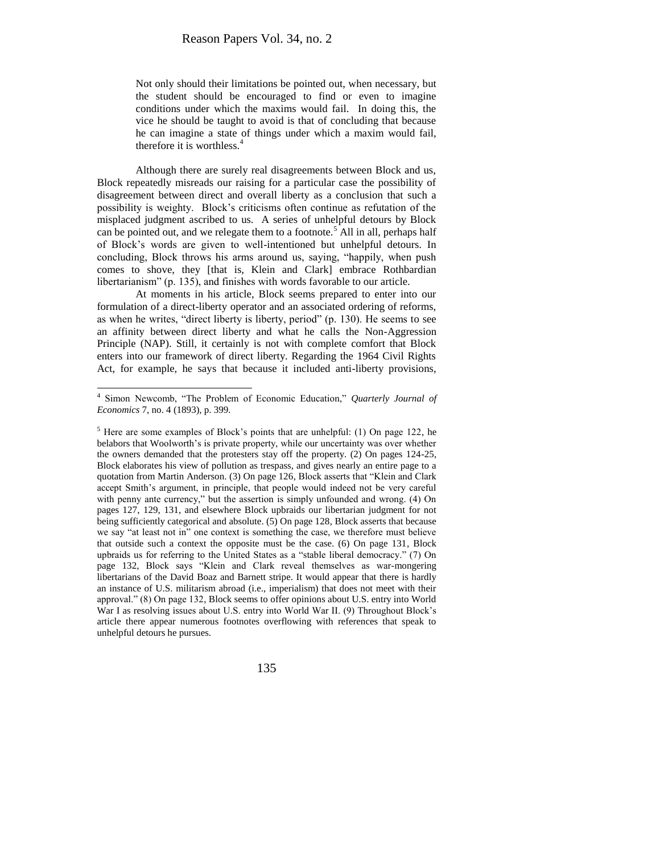Not only should their limitations be pointed out, when necessary, but the student should be encouraged to find or even to imagine conditions under which the maxims would fail. In doing this, the vice he should be taught to avoid is that of concluding that because he can imagine a state of things under which a maxim would fail, therefore it is worthless. $4$ 

Although there are surely real disagreements between Block and us, Block repeatedly misreads our raising for a particular case the possibility of disagreement between direct and overall liberty as a conclusion that such a possibility is weighty. Block's criticisms often continue as refutation of the misplaced judgment ascribed to us. A series of unhelpful detours by Block can be pointed out, and we relegate them to a footnote.<sup>5</sup> All in all, perhaps half of Block's words are given to well-intentioned but unhelpful detours. In concluding, Block throws his arms around us, saying, "happily, when push comes to shove, they [that is, Klein and Clark] embrace Rothbardian libertarianism" (p. 135), and finishes with words favorable to our article.

At moments in his article, Block seems prepared to enter into our formulation of a direct-liberty operator and an associated ordering of reforms, as when he writes, "direct liberty is liberty, period" (p. 130). He seems to see an affinity between direct liberty and what he calls the Non-Aggression Principle (NAP). Still, it certainly is not with complete comfort that Block enters into our framework of direct liberty. Regarding the 1964 Civil Rights Act, for example, he says that because it included anti-liberty provisions,

 4 Simon Newcomb, "The Problem of Economic Education," *Quarterly Journal of Economics* 7, no. 4 (1893), p. 399.

 $<sup>5</sup>$  Here are some examples of Block's points that are unhelpful: (1) On page 122, he</sup> belabors that Woolworth's is private property, while our uncertainty was over whether the owners demanded that the protesters stay off the property. (2) On pages 124-25, Block elaborates his view of pollution as trespass, and gives nearly an entire page to a quotation from Martin Anderson. (3) On page 126, Block asserts that "Klein and Clark accept Smith's argument, in principle, that people would indeed not be very careful with penny ante currency," but the assertion is simply unfounded and wrong. (4) On pages 127, 129, 131, and elsewhere Block upbraids our libertarian judgment for not being sufficiently categorical and absolute. (5) On page 128, Block asserts that because we say "at least not in" one context is something the case, we therefore must believe that outside such a context the opposite must be the case. (6) On page 131, Block upbraids us for referring to the United States as a "stable liberal democracy." (7) On page 132, Block says "Klein and Clark reveal themselves as war-mongering libertarians of the David Boaz and Barnett stripe. It would appear that there is hardly an instance of U.S. militarism abroad (i.e., imperialism) that does not meet with their approval." (8) On page 132, Block seems to offer opinions about U.S. entry into World War I as resolving issues about U.S. entry into World War II. (9) Throughout Block's article there appear numerous footnotes overflowing with references that speak to unhelpful detours he pursues.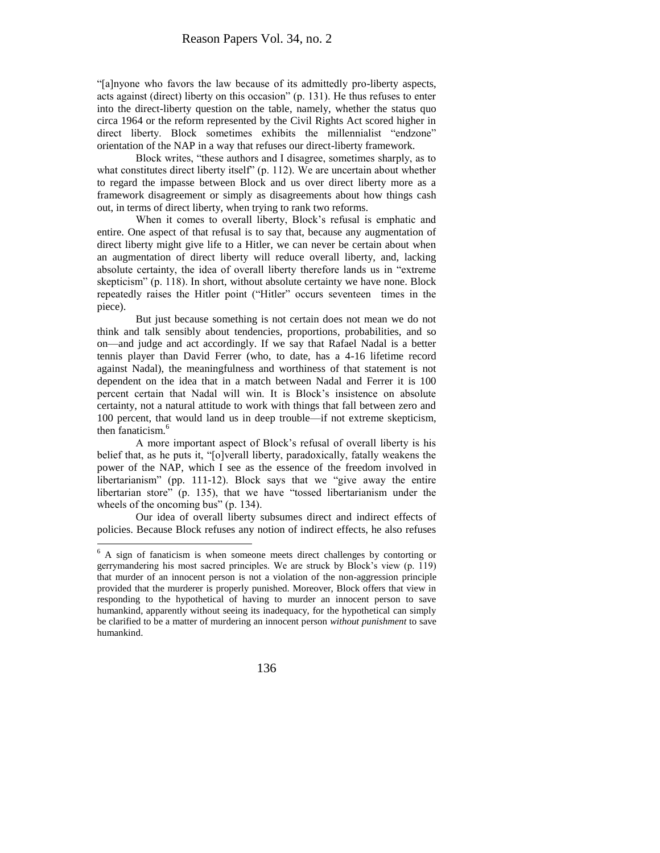"[a]nyone who favors the law because of its admittedly pro-liberty aspects, acts against (direct) liberty on this occasion" (p. 131). He thus refuses to enter into the direct-liberty question on the table, namely, whether the status quo circa 1964 or the reform represented by the Civil Rights Act scored higher in direct liberty. Block sometimes exhibits the millennialist "endzone" orientation of the NAP in a way that refuses our direct-liberty framework.

Block writes, "these authors and I disagree, sometimes sharply, as to what constitutes direct liberty itself" (p. 112). We are uncertain about whether to regard the impasse between Block and us over direct liberty more as a framework disagreement or simply as disagreements about how things cash out, in terms of direct liberty, when trying to rank two reforms.

When it comes to overall liberty, Block's refusal is emphatic and entire. One aspect of that refusal is to say that, because any augmentation of direct liberty might give life to a Hitler, we can never be certain about when an augmentation of direct liberty will reduce overall liberty, and, lacking absolute certainty, the idea of overall liberty therefore lands us in "extreme skepticism" (p. 118). In short, without absolute certainty we have none. Block repeatedly raises the Hitler point ("Hitler" occurs seventeen times in the piece).

But just because something is not certain does not mean we do not think and talk sensibly about tendencies, proportions, probabilities, and so on—and judge and act accordingly. If we say that Rafael Nadal is a better tennis player than David Ferrer (who, to date, has a 4-16 lifetime record against Nadal), the meaningfulness and worthiness of that statement is not dependent on the idea that in a match between Nadal and Ferrer it is 100 percent certain that Nadal will win. It is Block's insistence on absolute certainty, not a natural attitude to work with things that fall between zero and 100 percent, that would land us in deep trouble—if not extreme skepticism, then fanaticism.<sup>6</sup>

A more important aspect of Block's refusal of overall liberty is his belief that, as he puts it, "[o]verall liberty, paradoxically, fatally weakens the power of the NAP, which I see as the essence of the freedom involved in libertarianism" (pp. 111-12). Block says that we "give away the entire libertarian store" (p. 135), that we have "tossed libertarianism under the wheels of the oncoming bus" (p. 134).

Our idea of overall liberty subsumes direct and indirect effects of policies. Because Block refuses any notion of indirect effects, he also refuses

 $\overline{\phantom{a}}$ 

<sup>&</sup>lt;sup>6</sup> A sign of fanaticism is when someone meets direct challenges by contorting or gerrymandering his most sacred principles. We are struck by Block's view (p. 119) that murder of an innocent person is not a violation of the non-aggression principle provided that the murderer is properly punished. Moreover, Block offers that view in responding to the hypothetical of having to murder an innocent person to save humankind, apparently without seeing its inadequacy, for the hypothetical can simply be clarified to be a matter of murdering an innocent person *without punishment* to save humankind.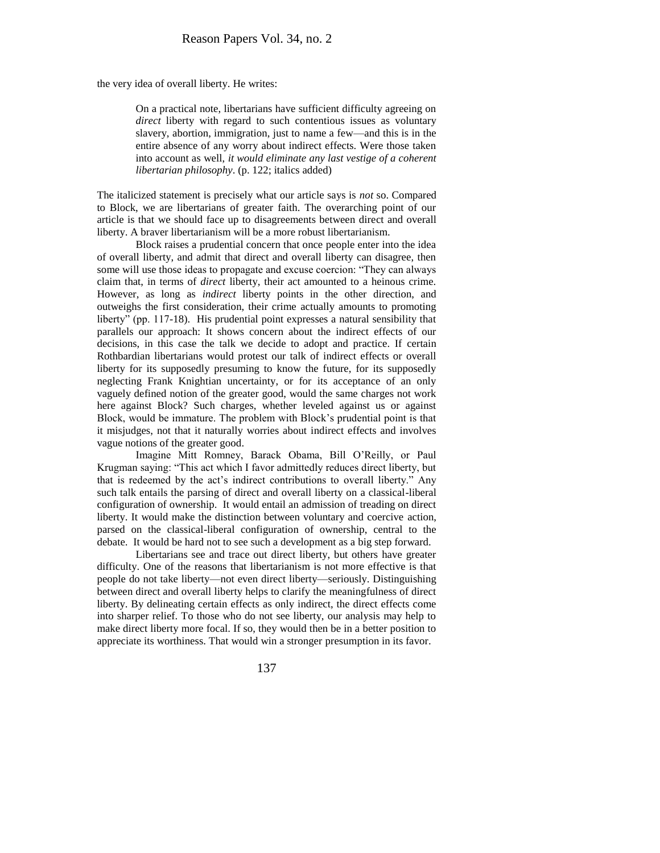the very idea of overall liberty. He writes:

On a practical note, libertarians have sufficient difficulty agreeing on *direct* liberty with regard to such contentious issues as voluntary slavery, abortion, immigration, just to name a few—and this is in the entire absence of any worry about indirect effects. Were those taken into account as well, *it would eliminate any last vestige of a coherent libertarian philosophy*. (p. 122; italics added)

The italicized statement is precisely what our article says is *not* so. Compared to Block, we are libertarians of greater faith. The overarching point of our article is that we should face up to disagreements between direct and overall liberty. A braver libertarianism will be a more robust libertarianism.

Block raises a prudential concern that once people enter into the idea of overall liberty, and admit that direct and overall liberty can disagree, then some will use those ideas to propagate and excuse coercion: "They can always claim that, in terms of *direct* liberty, their act amounted to a heinous crime. However, as long as *indirect* liberty points in the other direction, and outweighs the first consideration, their crime actually amounts to promoting liberty" (pp. 117-18). His prudential point expresses a natural sensibility that parallels our approach: It shows concern about the indirect effects of our decisions, in this case the talk we decide to adopt and practice. If certain Rothbardian libertarians would protest our talk of indirect effects or overall liberty for its supposedly presuming to know the future, for its supposedly neglecting Frank Knightian uncertainty, or for its acceptance of an only vaguely defined notion of the greater good, would the same charges not work here against Block? Such charges, whether leveled against us or against Block, would be immature. The problem with Block's prudential point is that it misjudges, not that it naturally worries about indirect effects and involves vague notions of the greater good.

Imagine Mitt Romney, Barack Obama, Bill O'Reilly, or Paul Krugman saying: "This act which I favor admittedly reduces direct liberty, but that is redeemed by the act's indirect contributions to overall liberty." Any such talk entails the parsing of direct and overall liberty on a classical-liberal configuration of ownership. It would entail an admission of treading on direct liberty. It would make the distinction between voluntary and coercive action, parsed on the classical-liberal configuration of ownership, central to the debate. It would be hard not to see such a development as a big step forward.

Libertarians see and trace out direct liberty, but others have greater difficulty. One of the reasons that libertarianism is not more effective is that people do not take liberty—not even direct liberty—seriously. Distinguishing between direct and overall liberty helps to clarify the meaningfulness of direct liberty. By delineating certain effects as only indirect, the direct effects come into sharper relief. To those who do not see liberty, our analysis may help to make direct liberty more focal. If so, they would then be in a better position to appreciate its worthiness. That would win a stronger presumption in its favor.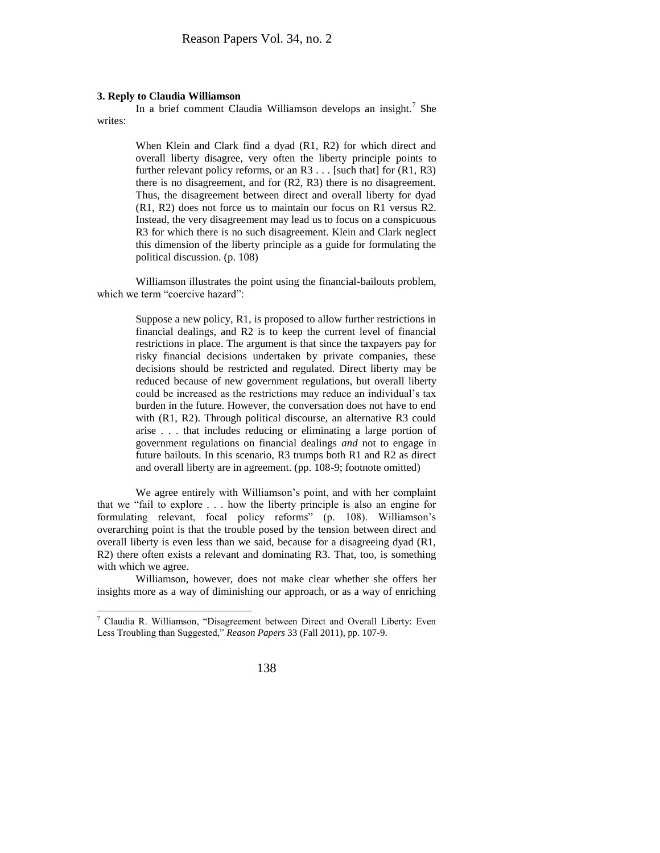#### **3. Reply to Claudia Williamson**

In a brief comment Claudia Williamson develops an insight.<sup>7</sup> She writes:

> When Klein and Clark find a dyad (R1, R2) for which direct and overall liberty disagree, very often the liberty principle points to further relevant policy reforms, or an  $R3$ ... [such that] for  $(R1, R3)$ there is no disagreement, and for (R2, R3) there is no disagreement. Thus, the disagreement between direct and overall liberty for dyad (R1, R2) does not force us to maintain our focus on R1 versus R2. Instead, the very disagreement may lead us to focus on a conspicuous R3 for which there is no such disagreement. Klein and Clark neglect this dimension of the liberty principle as a guide for formulating the political discussion. (p. 108)

Williamson illustrates the point using the financial-bailouts problem, which we term "coercive hazard":

> Suppose a new policy, R1, is proposed to allow further restrictions in financial dealings, and R2 is to keep the current level of financial restrictions in place. The argument is that since the taxpayers pay for risky financial decisions undertaken by private companies, these decisions should be restricted and regulated. Direct liberty may be reduced because of new government regulations, but overall liberty could be increased as the restrictions may reduce an individual's tax burden in the future. However, the conversation does not have to end with (R1, R2). Through political discourse, an alternative R3 could arise . . . that includes reducing or eliminating a large portion of government regulations on financial dealings *and* not to engage in future bailouts. In this scenario, R3 trumps both R1 and R2 as direct and overall liberty are in agreement. (pp. 108-9; footnote omitted)

We agree entirely with Williamson's point, and with her complaint that we "fail to explore . . . how the liberty principle is also an engine for formulating relevant, focal policy reforms" (p. 108). Williamson's overarching point is that the trouble posed by the tension between direct and overall liberty is even less than we said, because for a disagreeing dyad (R1, R2) there often exists a relevant and dominating R3. That, too, is something with which we agree.

Williamson, however, does not make clear whether she offers her insights more as a way of diminishing our approach, or as a way of enriching

l

<sup>7</sup> Claudia R. Williamson, "Disagreement between Direct and Overall Liberty: Even Less Troubling than Suggested," *Reason Papers* 33 (Fall 2011), pp. 107-9.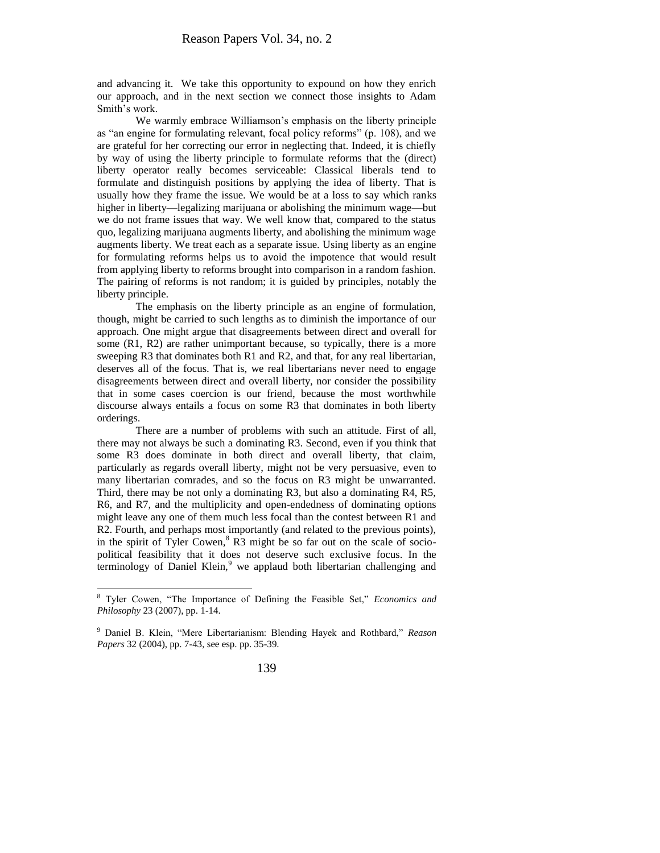and advancing it. We take this opportunity to expound on how they enrich our approach, and in the next section we connect those insights to Adam Smith's work.

We warmly embrace Williamson's emphasis on the liberty principle as "an engine for formulating relevant, focal policy reforms" (p. 108), and we are grateful for her correcting our error in neglecting that. Indeed, it is chiefly by way of using the liberty principle to formulate reforms that the (direct) liberty operator really becomes serviceable: Classical liberals tend to formulate and distinguish positions by applying the idea of liberty. That is usually how they frame the issue. We would be at a loss to say which ranks higher in liberty—legalizing marijuana or abolishing the minimum wage—but we do not frame issues that way. We well know that, compared to the status quo, legalizing marijuana augments liberty, and abolishing the minimum wage augments liberty. We treat each as a separate issue. Using liberty as an engine for formulating reforms helps us to avoid the impotence that would result from applying liberty to reforms brought into comparison in a random fashion. The pairing of reforms is not random; it is guided by principles, notably the liberty principle.

The emphasis on the liberty principle as an engine of formulation, though, might be carried to such lengths as to diminish the importance of our approach. One might argue that disagreements between direct and overall for some (R1, R2) are rather unimportant because, so typically, there is a more sweeping R3 that dominates both R1 and R2, and that, for any real libertarian, deserves all of the focus. That is, we real libertarians never need to engage disagreements between direct and overall liberty, nor consider the possibility that in some cases coercion is our friend, because the most worthwhile discourse always entails a focus on some R3 that dominates in both liberty orderings.

There are a number of problems with such an attitude. First of all, there may not always be such a dominating R3. Second, even if you think that some R3 does dominate in both direct and overall liberty, that claim, particularly as regards overall liberty, might not be very persuasive, even to many libertarian comrades, and so the focus on R3 might be unwarranted. Third, there may be not only a dominating R3, but also a dominating R4, R5, R6, and R7, and the multiplicity and open-endedness of dominating options might leave any one of them much less focal than the contest between R1 and R2. Fourth, and perhaps most importantly (and related to the previous points), in the spirit of Tyler Cowen, $8$  R3 might be so far out on the scale of sociopolitical feasibility that it does not deserve such exclusive focus. In the terminology of Daniel Klein, $9$  we applaud both libertarian challenging and

 $\overline{a}$ 

<sup>8</sup> Tyler Cowen, "The Importance of Defining the Feasible Set," *Economics and Philosophy* 23 (2007), pp. 1-14.

<sup>9</sup> Daniel B. Klein, "Mere Libertarianism: Blending Hayek and Rothbard," *Reason Papers* 32 (2004), pp. 7-43, see esp. pp. 35-39.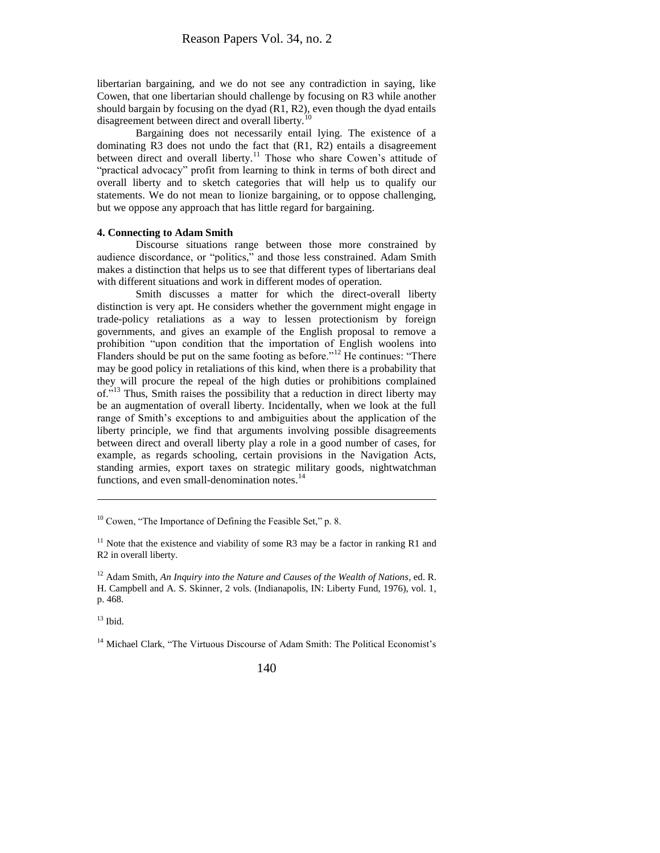libertarian bargaining, and we do not see any contradiction in saying, like Cowen, that one libertarian should challenge by focusing on R3 while another should bargain by focusing on the dyad (R1, R2), even though the dyad entails disagreement between direct and overall liberty.<sup>10</sup>

Bargaining does not necessarily entail lying. The existence of a dominating R3 does not undo the fact that (R1, R2) entails a disagreement between direct and overall liberty.<sup>11</sup> Those who share Cowen's attitude of "practical advocacy" profit from learning to think in terms of both direct and overall liberty and to sketch categories that will help us to qualify our statements. We do not mean to lionize bargaining, or to oppose challenging, but we oppose any approach that has little regard for bargaining.

#### **4. Connecting to Adam Smith**

Discourse situations range between those more constrained by audience discordance, or "politics," and those less constrained. Adam Smith makes a distinction that helps us to see that different types of libertarians deal with different situations and work in different modes of operation.

Smith discusses a matter for which the direct-overall liberty distinction is very apt. He considers whether the government might engage in trade-policy retaliations as a way to lessen protectionism by foreign governments, and gives an example of the English proposal to remove a prohibition "upon condition that the importation of English woolens into Flanders should be put on the same footing as before."<sup>12</sup> He continues: "There may be good policy in retaliations of this kind, when there is a probability that they will procure the repeal of the high duties or prohibitions complained of.<sup>"13</sup> Thus, Smith raises the possibility that a reduction in direct liberty may be an augmentation of overall liberty. Incidentally, when we look at the full range of Smith's exceptions to and ambiguities about the application of the liberty principle, we find that arguments involving possible disagreements between direct and overall liberty play a role in a good number of cases, for example, as regards schooling, certain provisions in the Navigation Acts, standing armies, export taxes on strategic military goods, nightwatchman functions, and even small-denomination notes.<sup>14</sup>

 $13$  Ibid.

l

<sup>14</sup> Michael Clark, "The Virtuous Discourse of Adam Smith: The Political Economist's

 $10$  Cowen, "The Importance of Defining the Feasible Set," p. 8.

 $11$  Note that the existence and viability of some R3 may be a factor in ranking R1 and R2 in overall liberty.

<sup>12</sup> Adam Smith, *An Inquiry into the Nature and Causes of the Wealth of Nations*, ed. R. H. Campbell and A. S. Skinner, 2 vols. (Indianapolis, IN: Liberty Fund, 1976), vol. 1, p. 468.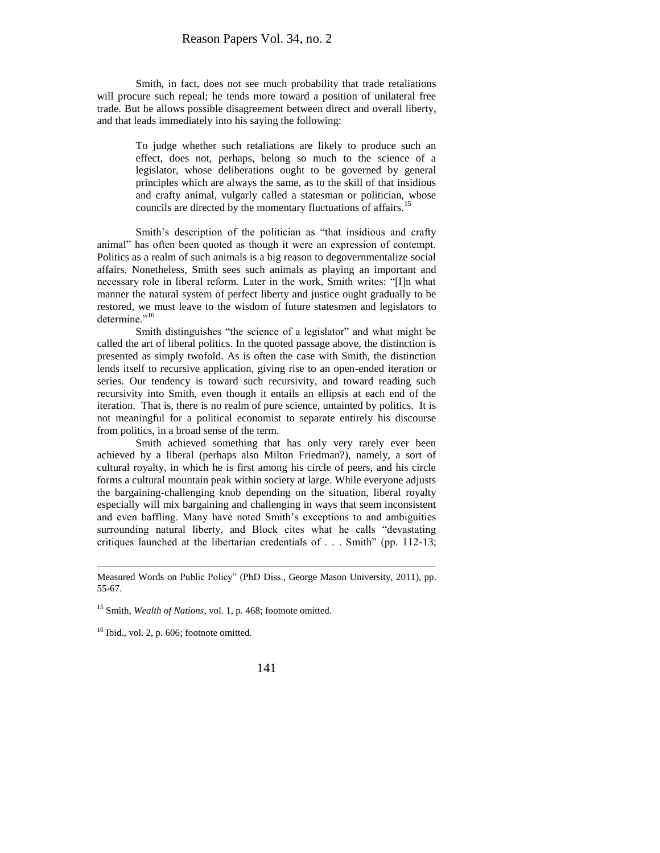Smith, in fact, does not see much probability that trade retaliations will procure such repeal; he tends more toward a position of unilateral free trade. But he allows possible disagreement between direct and overall liberty, and that leads immediately into his saying the following:

> To judge whether such retaliations are likely to produce such an effect, does not, perhaps, belong so much to the science of a legislator, whose deliberations ought to be governed by general principles which are always the same, as to the skill of that insidious and crafty animal, vulgarly called a statesman or politician, whose councils are directed by the momentary fluctuations of affairs.<sup>15</sup>

Smith's description of the politician as "that insidious and crafty animal" has often been quoted as though it were an expression of contempt. Politics as a realm of such animals is a big reason to degovernmentalize social affairs. Nonetheless, Smith sees such animals as playing an important and necessary role in liberal reform. Later in the work, Smith writes: "[I]n what manner the natural system of perfect liberty and justice ought gradually to be restored, we must leave to the wisdom of future statesmen and legislators to determine."<sup>16</sup>

Smith distinguishes "the science of a legislator" and what might be called the art of liberal politics. In the quoted passage above, the distinction is presented as simply twofold. As is often the case with Smith, the distinction lends itself to recursive application, giving rise to an open-ended iteration or series. Our tendency is toward such recursivity, and toward reading such recursivity into Smith, even though it entails an ellipsis at each end of the iteration. That is, there is no realm of pure science, untainted by politics. It is not meaningful for a political economist to separate entirely his discourse from politics, in a broad sense of the term.

Smith achieved something that has only very rarely ever been achieved by a liberal (perhaps also Milton Friedman?), namely, a sort of cultural royalty, in which he is first among his circle of peers, and his circle forms a cultural mountain peak within society at large. While everyone adjusts the bargaining-challenging knob depending on the situation, liberal royalty especially will mix bargaining and challenging in ways that seem inconsistent and even baffling. Many have noted Smith's exceptions to and ambiguities surrounding natural liberty, and Block cites what he calls "devastating critiques launched at the libertarian credentials of . . . Smith" (pp. 112-13;

<sup>15</sup> Smith, *Wealth of Nations*, vol. 1, p. 468; footnote omitted.

 $16$  Ibid., vol. 2, p. 606; footnote omitted.

 $\overline{\phantom{a}}$ 

Measured Words on Public Policy" (PhD Diss., George Mason University, 2011), pp. 55-67.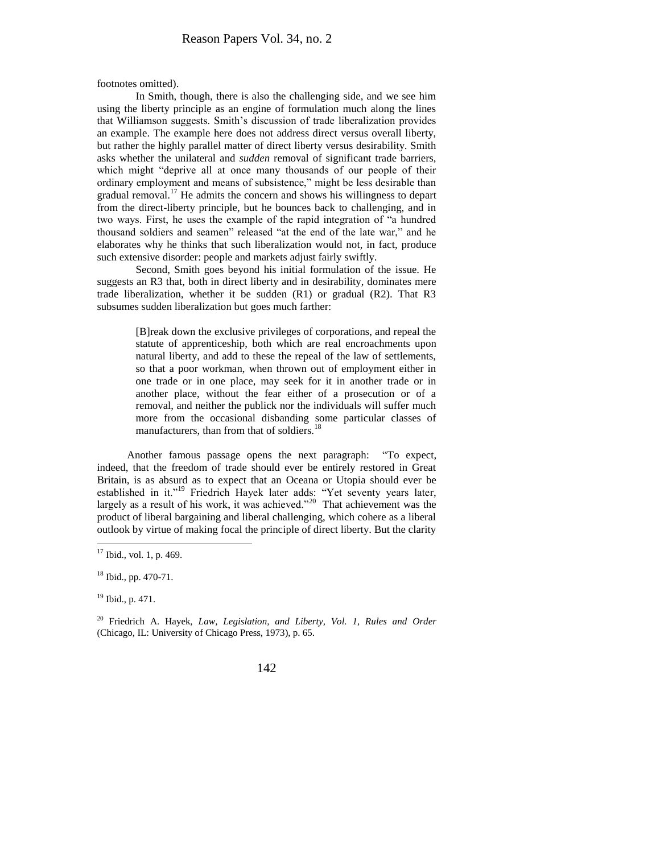footnotes omitted).

In Smith, though, there is also the challenging side, and we see him using the liberty principle as an engine of formulation much along the lines that Williamson suggests. Smith's discussion of trade liberalization provides an example. The example here does not address direct versus overall liberty, but rather the highly parallel matter of direct liberty versus desirability. Smith asks whether the unilateral and *sudden* removal of significant trade barriers, which might "deprive all at once many thousands of our people of their ordinary employment and means of subsistence," might be less desirable than gradual removal.<sup>17</sup> He admits the concern and shows his willingness to depart from the direct-liberty principle, but he bounces back to challenging, and in two ways. First, he uses the example of the rapid integration of "a hundred thousand soldiers and seamen" released "at the end of the late war," and he elaborates why he thinks that such liberalization would not, in fact, produce such extensive disorder: people and markets adjust fairly swiftly.

Second, Smith goes beyond his initial formulation of the issue. He suggests an R3 that, both in direct liberty and in desirability, dominates mere trade liberalization, whether it be sudden (R1) or gradual (R2). That R3 subsumes sudden liberalization but goes much farther:

> [B]reak down the exclusive privileges of corporations, and repeal the statute of apprenticeship, both which are real encroachments upon natural liberty, and add to these the repeal of the law of settlements, so that a poor workman, when thrown out of employment either in one trade or in one place, may seek for it in another trade or in another place, without the fear either of a prosecution or of a removal, and neither the publick nor the individuals will suffer much more from the occasional disbanding some particular classes of manufacturers, than from that of soldiers.<sup>18</sup>

Another famous passage opens the next paragraph: "To expect, indeed, that the freedom of trade should ever be entirely restored in Great Britain, is as absurd as to expect that an Oceana or Utopia should ever be established in it."<sup>19</sup> Friedrich Hayek later adds: "Yet seventy years later, largely as a result of his work, it was achieved.<sup> $20$ </sup> That achievement was the product of liberal bargaining and liberal challenging, which cohere as a liberal outlook by virtue of making focal the principle of direct liberty. But the clarity

 $\overline{\phantom{a}}$ 

 $17$  Ibid., vol. 1, p. 469.

 $18$  Ibid., pp. 470-71.

<sup>19</sup> Ibid., p. 471.

<sup>20</sup> Friedrich A. Hayek, *Law, Legislation, and Liberty, Vol. 1, Rules and Order* (Chicago, IL: University of Chicago Press, 1973), p. 65.